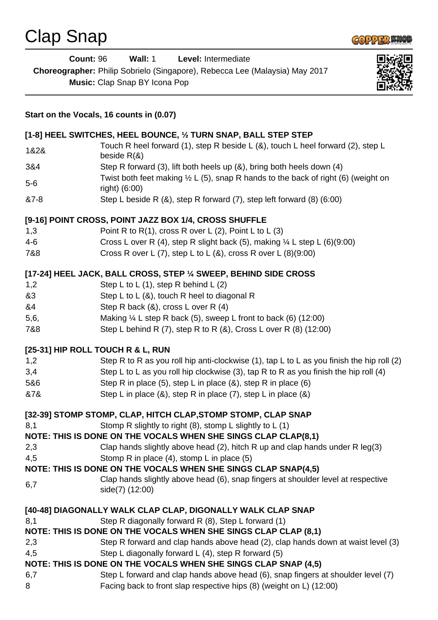

|                   | <b>Count: 96</b><br>Wall: 1<br>Level: Intermediate<br>Choreographer: Philip Sobrielo (Singapore), Rebecca Lee (Malaysia) May 2017<br>Music: Clap Snap BY Icona Pop                                                                                                             |  |
|-------------------|--------------------------------------------------------------------------------------------------------------------------------------------------------------------------------------------------------------------------------------------------------------------------------|--|
|                   | Start on the Vocals, 16 counts in (0.07)                                                                                                                                                                                                                                       |  |
|                   | [1-8] HEEL SWITCHES, HEEL BOUNCE, 1/2 TURN SNAP, BALL STEP STEP                                                                                                                                                                                                                |  |
| 1&2&              | Touch R heel forward (1), step R beside L (&), touch L heel forward (2), step L<br>beside $R(8)$                                                                                                                                                                               |  |
| 3&4               | Step R forward (3), lift both heels up (&), bring both heels down (4)                                                                                                                                                                                                          |  |
| $5-6$             | Twist both feet making $\frac{1}{2}$ L (5), snap R hands to the back of right (6) (weight on<br>right) (6:00)                                                                                                                                                                  |  |
| &7-8              | Step L beside R $(8)$ , step R forward $(7)$ , step left forward $(8)$ $(6:00)$                                                                                                                                                                                                |  |
| 1,3<br>4-6<br>7&8 | [9-16] POINT CROSS, POINT JAZZ BOX 1/4, CROSS SHUFFLE<br>Point R to R(1), cross R over L (2), Point L to L (3)<br>Cross L over R (4), step R slight back (5), making $\frac{1}{4}$ L step L (6)(9:00)<br>Cross R over L $(7)$ , step L to L $(8)$ , cross R over L $(8)(9:00)$ |  |
|                   | [17-24] HEEL JACK, BALL CROSS, STEP 1/4 SWEEP, BEHIND SIDE CROSS                                                                                                                                                                                                               |  |
| 1,2               | Step L to L $(1)$ , step R behind L $(2)$                                                                                                                                                                                                                                      |  |
| &3                | Step L to L $(8)$ , touch R heel to diagonal R                                                                                                                                                                                                                                 |  |
| &4                | Step R back (&), cross L over R (4)                                                                                                                                                                                                                                            |  |
| 5,6,              | Making $\frac{1}{4}$ L step R back (5), sweep L front to back (6) (12:00)                                                                                                                                                                                                      |  |
| 7&8               | Step L behind R (7), step R to R (&), Cross L over R (8) (12:00)                                                                                                                                                                                                               |  |
|                   | [25-31] HIP ROLL TOUCH R & L, RUN                                                                                                                                                                                                                                              |  |
| 1,2               | Step R to R as you roll hip anti-clockwise $(1)$ , tap L to L as you finish the hip roll $(2)$                                                                                                                                                                                 |  |
| 3,4               | Step L to L as you roll hip clockwise (3), tap R to R as you finish the hip roll (4)                                                                                                                                                                                           |  |
| 5&6               | Step R in place $(5)$ , step L in place $(8)$ , step R in place $(6)$                                                                                                                                                                                                          |  |
| &7&               | Step L in place $(8)$ , step R in place $(7)$ , step L in place $(8)$                                                                                                                                                                                                          |  |
|                   | [32-39] STOMP STOMP, CLAP, HITCH CLAP, STOMP STOMP, CLAP SNAP                                                                                                                                                                                                                  |  |
| 8,1               | Stomp R slightly to right (8), stomp L slightly to L (1)                                                                                                                                                                                                                       |  |
|                   | NOTE: THIS IS DONE ON THE VOCALS WHEN SHE SINGS CLAP CLAP(8,1)                                                                                                                                                                                                                 |  |
| 2,3               | Clap hands slightly above head (2), hitch R up and clap hands under R $leg(3)$                                                                                                                                                                                                 |  |
| 4,5               | Stomp R in place (4), stomp L in place (5)                                                                                                                                                                                                                                     |  |
|                   | NOTE: THIS IS DONE ON THE VOCALS WHEN SHE SINGS CLAP SNAP(4,5)                                                                                                                                                                                                                 |  |
|                   | Clap hands slightly above head (6), snap fingers at shoulder level at respective                                                                                                                                                                                               |  |
| 6,7               | side(7) (12:00)                                                                                                                                                                                                                                                                |  |
|                   | [40-48] DIAGONALLY WALK CLAP CLAP, DIGONALLY WALK CLAP SNAP                                                                                                                                                                                                                    |  |
| 8,1               | Step R diagonally forward R (8), Step L forward (1)                                                                                                                                                                                                                            |  |
|                   | NOTE: THIS IS DONE ON THE VOCALS WHEN SHE SINGS CLAP CLAP (8,1)                                                                                                                                                                                                                |  |
| 2,3               | Step R forward and clap hands above head (2), clap hands down at waist level (3)                                                                                                                                                                                               |  |
| 4,5               | Step L diagonally forward L (4), step R forward (5)                                                                                                                                                                                                                            |  |
|                   | NOTE: THIS IS DONE ON THE VOCALS WHEN SHE SINGS CLAP SNAP (4,5)                                                                                                                                                                                                                |  |
| 6,7               | Step L forward and clap hands above head (6), snap fingers at shoulder level (7)                                                                                                                                                                                               |  |
| 8                 | Facing back to front slap respective hips (8) (weight on L) (12:00)                                                                                                                                                                                                            |  |